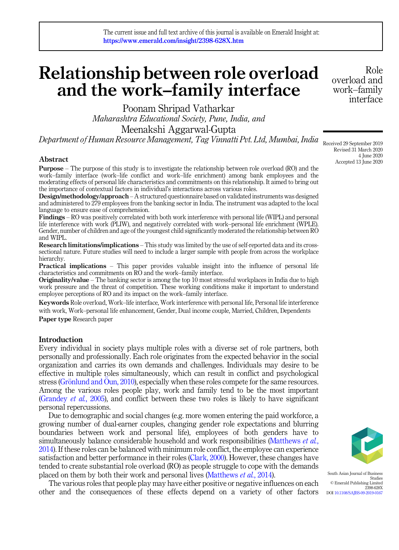# Relationship between role overload and the work–family interface

Poonam Shripad Vatharkar *Maharashtra Educational Society, Pune, India, and* Meenakshi Aggarwal-Gupta

*Department of Human Resource Management, Tag Vinnatti Pvt. Ltd, Mumbai, India*

#### Abstract

Purpose – The purpose of this study is to investigate the relationship between role overload (RO) and the work–family interface (work–life conflict and work–life enrichment) among bank employees and the moderating effects of personal life characteristics and commitments on this relationship. It aimed to bring out the importance of contextual factors in individual's interactions across various roles.

Design/methodology/approach – A structured questionnaire based on validated instruments was designed and administered to 279 employees from the banking sector in India. The instrument was adapted to the local language to ensure ease of comprehension.

Findings – RO was positively correlated with both work interference with personal life (WIPL) and personal life interference with work (PLIW), and negatively correlated with work–personal life enrichment (WPLE). Gender, number of children and age of the youngest child significantly moderated the relationship between RO and WIPL.

Research limitations/implications – This study was limited by the use of self-reported data and its crosssectional nature. Future studies will need to include a larger sample with people from across the workplace hierarchy.

Practical implications - This paper provides valuable insight into the influence of personal life characteristics and commitments on RO and the work–family interface.

**Originality/value** – The banking sector is among the top 10 most stressful workplaces in India due to high work pressure and the threat of competition. These working conditions make it important to understand employee perceptions of RO and its impact on the work–family interface.

Keywords Role overload, Work–life interface, Work interference with personal life, Personal life interference with work, Work–personal life enhancement, Gender, Dual income couple, Married, Children, Dependents Paper type Research paper

#### Introduction

Every individual in society plays multiple roles with a diverse set of role partners, both personally and professionally. Each role originates from the expected behavior in the social organization and carries its own demands and challenges. Individuals may desire to be effective in multiple roles simultaneously, which can result in conflict and psychological stress (Grönlund and Oun, 2010), especially when these roles compete for the same resources. Among the various roles people play, work and family tend to be the most important (Grandey *et al.*, 2005), and conflict between these two roles is likely to have significant personal repercussions.

Due to demographic and social changes (e.g. more women entering the paid workforce, a growing number of dual-earner couples, changing gender role expectations and blurring boundaries between work and personal life), employees of both genders have to simultaneously balance considerable household and work responsibilities (Matthews *et al.*, 2014). If these roles can be balanced with minimum role conflict, the employee can experience satisfaction and better performance in their roles (Clark, 2000). However, these changes have tended to create substantial role overload (RO) as people struggle to cope with the demands placed on them by both their work and personal lives (Matthews *et al.*, 2014).

The various roles that people play may have either positive or negative influences on each other and the consequences of these effects depend on a variety of other factors

South Asian Journal of Business Studies © Emerald Publishing Limited 2398-628X DOI 10.1108/SAJBS-09-2019-0167

Received 29 September 2019 Revised 31 March 2020 4 June 2020 Accepted 13 June 2020

overload and work–family interface

Role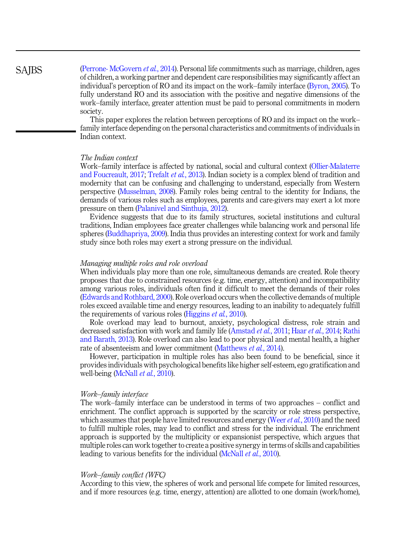#### (Perrone- McGovern *et al.*, 2014). Personal life commitments such as marriage, children, ages of children, a working partner and dependent care responsibilities may significantly affect an individual's perception of RO and its impact on the work–family interface (Byron, 2005). To fully understand RO and its association with the positive and negative dimensions of the work–family interface, greater attention must be paid to personal commitments in modern society. **SAIBS**

This paper explores the relation between perceptions of RO and its impact on the work– family interface depending on the personal characteristics and commitments of individuals in Indian context.

#### *The Indian context*

Work–family interface is affected by national, social and cultural context (Ollier-Malaterre and Foucreault, 2017; Trefalt *et al.*, 2013). Indian society is a complex blend of tradition and modernity that can be confusing and challenging to understand, especially from Western perspective (Musselman, 2008). Family roles being central to the identity for Indians, the demands of various roles such as employees, parents and care-givers may exert a lot more pressure on them (Palanivel and Sinthuja, 2012).

Evidence suggests that due to its family structures, societal institutions and cultural traditions, Indian employees face greater challenges while balancing work and personal life spheres (Buddhapriya, 2009). India thus provides an interesting context for work and family study since both roles may exert a strong pressure on the individual.

#### *Managing multiple roles and role overload*

When individuals play more than one role, simultaneous demands are created. Role theory proposes that due to constrained resources (e.g. time, energy, attention) and incompatibility among various roles, individuals often find it difficult to meet the demands of their roles (Edwards and Rothbard, 2000). Role overload occurs when the collective demands of multiple roles exceed available time and energy resources, leading to an inability to adequately fulfill the requirements of various roles (Higgins *et al.*, 2010).

Role overload may lead to burnout, anxiety, psychological distress, role strain and decreased satisfaction with work and family life (Amstad *et al.*, 2011; Haar *et al.*, 2014; Rathi and Barath, 2013). Role overload can also lead to poor physical and mental health, a higher rate of absenteeism and lower commitment (Matthews *et al.*, 2014).

However, participation in multiple roles has also been found to be beneficial, since it provides individuals with psychological benefits like higher self-esteem, ego gratification and well-being (McNall *et al.*, 2010).

#### *Work*–*family interface*

The work–family interface can be understood in terms of two approaches – conflict and enrichment. The conflict approach is supported by the scarcity or role stress perspective, which assumes that people have limited resources and energy (Weer*et al.*, 2010) and the need to fulfill multiple roles, may lead to conflict and stress for the individual. The enrichment approach is supported by the multiplicity or expansionist perspective, which argues that multiple roles can work together to create a positive synergy in terms of skills and capabilities leading to various benefits for the individual (McNall *et al.*, 2010).

#### *Work*–*family conflict (WFC)*

According to this view, the spheres of work and personal life compete for limited resources, and if more resources (e.g. time, energy, attention) are allotted to one domain (work/home),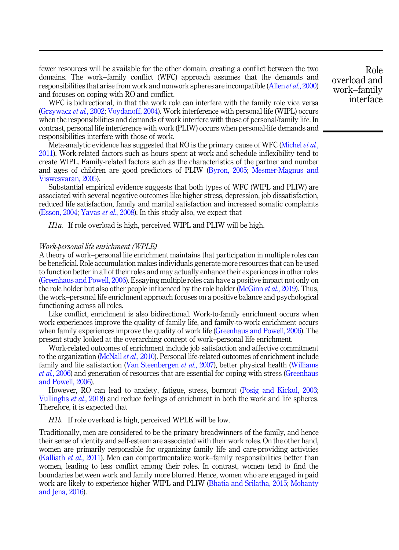fewer resources will be available for the other domain, creating a conflict between the two domains. The work–family conflict (WFC) approach assumes that the demands and responsibilities that arise from work and nonwork spheres are incompatible (Allen *et al.*, 2000) and focuses on coping with RO and conflict.

WFC is bidirectional, in that the work role can interfere with the family role vice versa (Grzywacz *et al.*, 2002; Voydanoff, 2004). Work interference with personal life (WIPL) occurs when the responsibilities and demands of work interfere with those of personal/family life. In contrast, personal life interference with work (PLIW) occurs when personal-life demands and responsibilities interfere with those of work.

Meta-analytic evidence has suggested that RO is the primary cause of WFC (Michel *et al.*, 2011). Work-related factors such as hours spent at work and schedule inflexibility tend to create WIPL. Family-related factors such as the characteristics of the partner and number and ages of children are good predictors of PLIW (Byron, 2005; Mesmer-Magnus and Viswesvaran, 2005).

Substantial empirical evidence suggests that both types of WFC (WIPL and PLIW) are associated with several negative outcomes like higher stress, depression, job dissatisfaction, reduced life satisfaction, family and marital satisfaction and increased somatic complaints (Esson, 2004; Yavas *et al.*, 2008). In this study also, we expect that

*H1a.* If role overload is high, perceived WIPL and PLIW will be high.

#### *Work-personal life enrichment (WPLE)*

A theory of work–personal life enrichment maintains that participation in multiple roles can be beneficial. Role accumulation makes individuals generate more resources that can be used to function better in all of their roles and may actually enhance their experiences in other roles (Greenhaus and Powell, 2006). Essaying multiple roles can have a positive impact not only on the role holder but also other people influenced by the role holder (McGinn *et al.*, 2019). Thus, the work–personal life enrichment approach focuses on a positive balance and psychological functioning across all roles.

Like conflict, enrichment is also bidirectional. Work-to-family enrichment occurs when work experiences improve the quality of family life, and family-to-work enrichment occurs when family experiences improve the quality of work life (Greenhaus and Powell, 2006). The present study looked at the overarching concept of work–personal life enrichment.

Work-related outcomes of enrichment include job satisfaction and affective commitment to the organization (McNall *et al.*, 2010). Personal life-related outcomes of enrichment include family and life satisfaction (Van Steenbergen *et al.*, 2007), better physical health (Williams *et al.*, 2006) and generation of resources that are essential for coping with stress (Greenhaus and Powell, 2006).

However, RO can lead to anxiety, fatigue, stress, burnout (Posig and Kickul, 2003; Vullinghs *et al.*, 2018) and reduce feelings of enrichment in both the work and life spheres. Therefore, it is expected that

*H1b.* If role overload is high, perceived WPLE will be low.

Traditionally, men are considered to be the primary breadwinners of the family, and hence their sense of identity and self-esteem are associated with their work roles. On the other hand, women are primarily responsible for organizing family life and care-providing activities (Kalliath *et al.*, 2011). Men can compartmentalize work–family responsibilities better than women, leading to less conflict among their roles. In contrast, women tend to find the boundaries between work and family more blurred. Hence, women who are engaged in paid work are likely to experience higher WIPL and PLIW (Bhatia and Srilatha, 2015; Mohanty and Jena, 2016).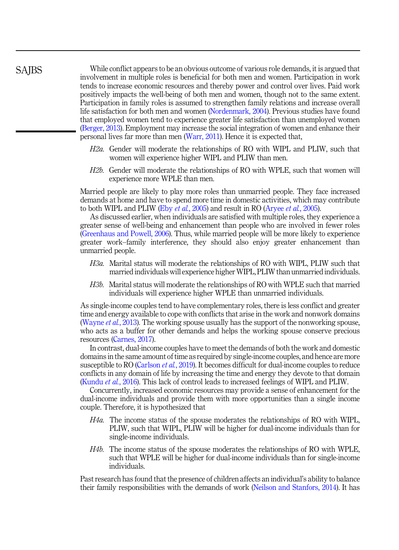While conflict appears to be an obvious outcome of various role demands, it is argued that involvement in multiple roles is beneficial for both men and women. Participation in work tends to increase economic resources and thereby power and control over lives. Paid work positively impacts the well-being of both men and women, though not to the same extent. Participation in family roles is assumed to strengthen family relations and increase overall life satisfaction for both men and women (Nordenmark, 2004). Previous studies have found that employed women tend to experience greater life satisfaction than unemployed women (Berger, 2013). Employment may increase the social integration of women and enhance their personal lives far more than men (Warr, 2011). Hence it is expected that,

- *H2a.* Gender will moderate the relationships of RO with WIPL and PLIW, such that women will experience higher WIPL and PLIW than men.
- *H2b.* Gender will moderate the relationships of RO with WPLE, such that women will experience more WPLE than men.

Married people are likely to play more roles than unmarried people. They face increased demands at home and have to spend more time in domestic activities, which may contribute to both WIPL and PLIW (Eby *et al.*, 2005) and result in RO (Aryee *et al.*, 2005).

As discussed earlier, when individuals are satisfied with multiple roles, they experience a greater sense of well-being and enhancement than people who are involved in fewer roles (Greenhaus and Powell, 2006). Thus, while married people will be more likely to experience greater work–family interference, they should also enjoy greater enhancement than unmarried people.

- *H3a.* Marital status will moderate the relationships of RO with WIPL, PLIW such that married individuals will experience higher WIPL, PLIW than unmarried individuals.
- *H3b.* Marital status will moderate the relationships of RO with WPLE such that married individuals will experience higher WPLE than unmarried individuals.

As single-income couples tend to have complementary roles, there is less conflict and greater time and energy available to cope with conflicts that arise in the work and nonwork domains (Wayne *et al.*, 2013). The working spouse usually has the support of the nonworking spouse, who acts as a buffer for other demands and helps the working spouse conserve precious resources (Carnes, 2017).

In contrast, dual-income couples have to meet the demands of both the work and domestic domains in the same amount of time as required by single-income couples, and hence are more susceptible to RO (Carlson *et al.*, 2019). It becomes difficult for dual-income couples to reduce conflicts in any domain of life by increasing the time and energy they devote to that domain (Kundu *et al.*, 2016). This lack of control leads to increased feelings of WIPL and PLIW.

Concurrently, increased economic resources may provide a sense of enhancement for the dual-income individuals and provide them with more opportunities than a single income couple. Therefore, it is hypothesized that

- *H4a.* The income status of the spouse moderates the relationships of RO with WIPL, PLIW, such that WIPL, PLIW will be higher for dual-income individuals than for single-income individuals.
- *H4b.* The income status of the spouse moderates the relationships of RO with WPLE, such that WPLE will be higher for dual-income individuals than for single-income individuals.

Past research has found that the presence of children affects an individual's ability to balance their family responsibilities with the demands of work (Neilson and Stanfors, 2014). It has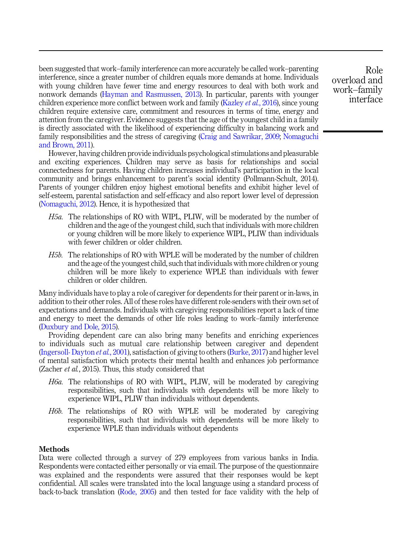been suggested that work–family interference can more accurately be called work–parenting interference, since a greater number of children equals more demands at home. Individuals with young children have fewer time and energy resources to deal with both work and nonwork demands (Hayman and Rasmussen, 2013). In particular, parents with younger children experience more conflict between work and family (Kazley *et al.*, 2016), since young children require extensive care, commitment and resources in terms of time, energy and attention from the caregiver. Evidence suggests that the age of the youngest child in a family is directly associated with the likelihood of experiencing difficulty in balancing work and family responsibilities and the stress of caregiving (Craig and Sawrikar, 2009; Nomaguchi and Brown, 2011).

However, having children provide individuals psychological stimulations and pleasurable and exciting experiences. Children may serve as basis for relationships and social connectedness for parents. Having children increases individual's participation in the local community and brings enhancement to parent's social identity (Pollmann-Schult, 2014). Parents of younger children enjoy highest emotional benefits and exhibit higher level of self-esteem, parental satisfaction and self-efficacy and also report lower level of depression (Nomaguchi, 2012). Hence, it is hypothesized that

- *H5a.* The relationships of RO with WIPL, PLIW, will be moderated by the number of children and the age of the youngest child, such that individuals with more children or young children will be more likely to experience WIPL, PLIW than individuals with fewer children or older children.
- *H5b.* The relationships of RO with WPLE will be moderated by the number of children and the age of the youngest child, such that individuals with more children or young children will be more likely to experience WPLE than individuals with fewer children or older children.

Many individuals have to play a role of caregiver for dependents for their parent or in-laws, in addition to their other roles. All of these roles have different role-senders with their own set of expectations and demands. Individuals with caregiving responsibilities report a lack of time and energy to meet the demands of other life roles leading to work–family interference (Duxbury and Dole, 2015).

Providing dependent care can also bring many benefits and enriching experiences to individuals such as mutual care relationship between caregiver and dependent (Ingersoll- Dayton *et al.*, 2001), satisfaction of giving to others (Burke, 2017) and higher level of mental satisfaction which protects their mental health and enhances job performance (Zacher *et al.*, 2015). Thus, this study considered that

- *H6a.* The relationships of RO with WIPL, PLIW, will be moderated by caregiving responsibilities, such that individuals with dependents will be more likely to experience WIPL, PLIW than individuals without dependents.
- *H6b.* The relationships of RO with WPLE will be moderated by caregiving responsibilities, such that individuals with dependents will be more likely to experience WPLE than individuals without dependents

### **Methods**

Data were collected through a survey of 279 employees from various banks in India. Respondents were contacted either personally or via email. The purpose of the questionnaire was explained and the respondents were assured that their responses would be kept confidential. All scales were translated into the local language using a standard process of back-to-back translation (Rode, 2005) and then tested for face validity with the help of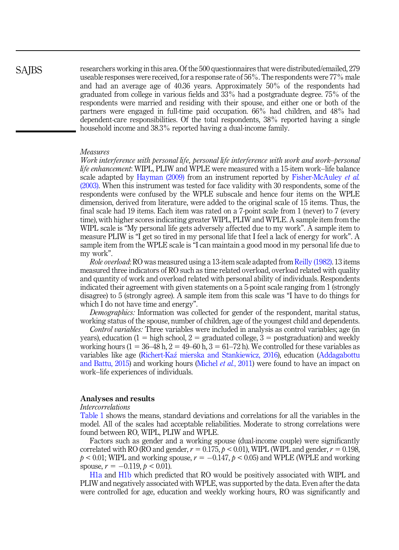researchers working in this area. Of the 500 questionnaires that were distributed/emailed, 279 useable responses were received, for a response rate of 56%. The respondents were 77% male and had an average age of 40.36 years. Approximately 50% of the respondents had graduated from college in various fields and 33% had a postgraduate degree. 75% of the respondents were married and residing with their spouse, and either one or both of the partners were engaged in full-time paid occupation. 66% had children, and 48% had dependent-care responsibilities. Of the total respondents, 38% reported having a single household income and 38.3% reported having a dual-income family.

#### *Measures*

*Work interference with personal life, personal life interference with work and work*–*personal life enhancement*: WIPL, PLIW and WPLE were measured with a 15-item work–life balance scale adapted by Hayman (2009) from an instrument reported by Fisher-McAuley *et al.* (2003). When this instrument was tested for face validity with 30 respondents, some of the respondents were confused by the WPLE subscale and hence four items on the WPLE dimension, derived from literature, were added to the original scale of 15 items. Thus, the final scale had 19 items. Each item was rated on a 7-point scale from 1 (never) to 7 (every time), with higher scores indicating greater WIPL, PLIW and WPLE. A sample item from the WIPL scale is "My personal life gets adversely affected due to my work". A sample item to measure PLIW is "I get so tired in my personal life that I feel a lack of energy for work". A sample item from the WPLE scale is "I can maintain a good mood in my personal life due to my work".

*Role overload*: RO was measured using a 13-item scale adapted from Reilly (1982). 13 items measured three indicators of RO such as time related overload, overload related with quality and quantity of work and overload related with personal ability of individuals. Respondents indicated their agreement with given statements on a 5-point scale ranging from 1 (strongly disagree) to 5 (strongly agree). A sample item from this scale was "I have to do things for which I do not have time and energy".

*Demographics:* Information was collected for gender of the respondent, marital status, working status of the spouse, number of children, age of the youngest child and dependents.

*Control variables:* Three variables were included in analysis as control variables; age (in years), education (1 = high school, 2 = graduated college, 3 = postgraduation) and weekly working hours ( $1 = 36-48$  h,  $2 = 49-60$  h,  $3 = 61-72$  h). We controlled for these variables as variables like age (Richert-Kaź mierska and Stankiewicz, 2016), education (Addagabottu and Battu, 2015) and working hours (Michel *et al.*, 2011) were found to have an impact on work–life experiences of individuals.

#### Analyses and results

#### *Intercorrelations*

Table 1 shows the means, standard deviations and correlations for all the variables in the model. All of the scales had acceptable reliabilities. Moderate to strong correlations were found between RO, WIPL, PLIW and WPLE.

Factors such as gender and a working spouse (dual-income couple) were significantly correlated with RO (RO and gender,  $r = 0.175$ ,  $p < 0.01$ ), WIPL (WIPL and gender,  $r = 0.198$ ,  $p < 0.01$ ; WIPL and working spouse,  $r = -0.147$ ,  $p < 0.05$ ) and WPLE (WPLE and working spouse,  $r = -0.119$ ,  $p < 0.01$ ).

H1a and H1b which predicted that RO would be positively associated with WIPL and PLIW and negatively associated with WPLE, was supported by the data. Even after the data were controlled for age, education and weekly working hours, RO was significantly and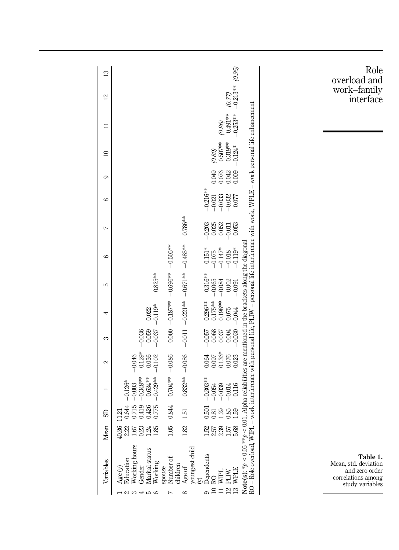| $\mathbf{13}$ |                                                                                |                                                                               |                                                                                                                                                                 | Role<br>overload and<br>work-family                                                         |
|---------------|--------------------------------------------------------------------------------|-------------------------------------------------------------------------------|-----------------------------------------------------------------------------------------------------------------------------------------------------------------|---------------------------------------------------------------------------------------------|
| 12            |                                                                                |                                                                               | $-0.213**$ (0.95)<br>0.77)                                                                                                                                      | interface                                                                                   |
| ᄇ             |                                                                                |                                                                               | work interference with personal life, PLIW – personal life interference with work, WPLE – work personal life enhancement<br>$-0.253***$<br>$0.491**$<br>$0.86)$ |                                                                                             |
| $\Box$        |                                                                                |                                                                               | $\begin{array}{c} (0.89) \\ 0.507*** \\ 0.319*** \end{array}$<br>$-0.124*$                                                                                      |                                                                                             |
| c             |                                                                                |                                                                               | 0.076<br>0.042<br>0.009<br>0.049                                                                                                                                |                                                                                             |
| 8             |                                                                                |                                                                               | $-0.216**$<br>$-0.032$<br>$-0.021$<br>$-0.033$<br>0.077                                                                                                         |                                                                                             |
| $\sim$        |                                                                                | $0.786**$                                                                     | $-0.203$<br>0.025<br>0.053<br>0.052<br>$-0.011$                                                                                                                 |                                                                                             |
| ဖ             |                                                                                |                                                                               | 11, Alpha reliabilities are mentioned in the brackets along the diagonal<br>$0.151*$<br>$-0.147*$<br>$-0.119*$<br>$-0.075$<br>$-0.018$                          |                                                                                             |
| 5             | $0.825***$                                                                     | $-0.221** -0.671** -0.485**$<br>$0.000 - 0.187*** - 0.696*** - 0.505***$      | $0.316**$<br>$-0.065$<br>0.002<br>$-0.084$<br>$-0.091$                                                                                                          |                                                                                             |
| 4             | $-0.119*$<br>0.022                                                             |                                                                               | $0.175**$<br>$0.198**$<br>$0.296***$<br>$0.075$<br>$-0.044$                                                                                                     |                                                                                             |
| S             | $-0.059$<br>$-0.037$<br>$-0.036$                                               | $-0.011$                                                                      | $-0.030$<br>0.068<br>$0.037$<br>0.004<br>$-0.057$                                                                                                               |                                                                                             |
| $\mathcal{C}$ | $0.129*$<br>0.036<br>$-0.102$<br>$-0.046$                                      | $-0.086$<br>$-0.086$                                                          | $0.136*$<br>0.076<br>0.023<br>0.064<br>0.097                                                                                                                    |                                                                                             |
| H             | $-0.429**$<br>$-0.348**$<br>$-0.634***$<br>$-0.126*$<br>$-0.003$               | $0.704**$<br>$0.832***$                                                       | $-0.303**$<br>$-0.039$<br>0.116<br>$-0.014$<br>$-0.054$                                                                                                         |                                                                                             |
| සි            | 0.775<br>0.644<br>0.715<br>0.419<br>0.426<br>11.21                             | 0.844<br>151                                                                  | 0.501<br>$0.85\,$<br>1.59<br>1.29<br>0.81                                                                                                                       |                                                                                             |
| Mean          | $9.205248$<br>$9.20248$                                                        | $-0.05$<br>$\overline{3}$                                                     | $\frac{57}{23}$<br>2353<br>1.52                                                                                                                                 |                                                                                             |
| Variables     | Age $(y)$<br>Education<br>Working hours<br>Marital status<br>Working<br>Gender | Number of<br>children<br>Age of<br>youngest child<br>youngest child<br>spouse | Note(s): $*_{p}$ < 0.05 $**_{p}$ < 0.0<br>RO – Role overload, WIPL –<br>Dependents<br><b>PLIW</b><br>WPLE<br>WIPL                                               | Table 1.<br>Mean, std. deviation<br>and zero order<br>correlations among<br>study variables |
|               | 123456                                                                         | $\infty$<br>Z                                                                 | $22$<br>$\circ$ $\approx$ $\pm$                                                                                                                                 |                                                                                             |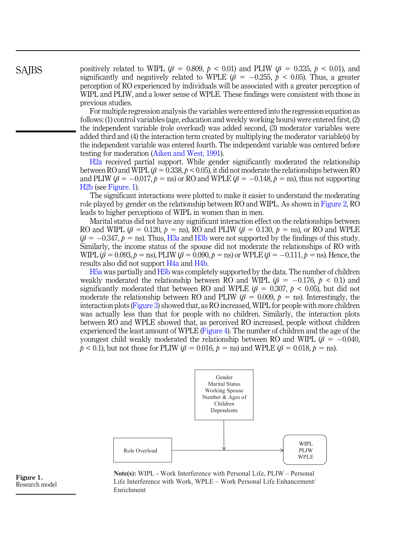positively related to WIPL ( $\beta = 0.809$ ,  $p < 0.01$ ) and PLIW ( $\beta = 0.335$ ,  $p < 0.01$ ), and significantly and negatively related to WPLE ( $\beta = -0.255$ ,  $\beta < 0.05$ ). Thus, a greater perception of RO experienced by individuals will be associated with a greater perception of WIPL and PLIW, and a lower sense of WPLE. These findings were consistent with those in previous studies.

For multiple regression analysis the variables were entered into the regression equation as follows: (1) control variables (age, education and weekly working hours) were entered first, (2) the independent variable (role overload) was added second, (3) moderator variables were added third and (4) the interaction term created by multiplying the moderator variable(s) by the independent variable was entered fourth. The independent variable was centered before testing for moderation (Aiken and West, 1991).

H2a received partial support. While gender significantly moderated the relationship between RO and WIPL  $(\beta = 0.338, \nu < 0.05)$ , it did not moderate the relationships between RO and PLIW ( $\beta = -0.017$ ,  $p =$  ns) or RO and WPLE ( $\beta = -0.148$ ,  $p =$  ns), thus not supporting H2b (see Figure. 1).

The significant interactions were plotted to make it easier to understand the moderating role played by gender on the relationship between RO and WIPL. As shown in Figure 2, RO leads to higher perceptions of WIPL in women than in men.

Marital status did not have any significant interaction effect on the relationships between RO and WIPL ( $\beta$  = 0.120,  $p$  = ns), RO and PLIW ( $\beta$  = 0.130,  $p$  = ns), or RO and WPLE  $(\beta = -0.347, p = \text{ns})$ . Thus, H<sub>3a</sub> and H<sub>3</sub>b were not supported by the findings of this study. Similarly, the income status of the spouse did not moderate the relationships of RO with WIPL  $(\beta = 0.093, \beta = \text{ns})$ , PLIW  $(\beta = 0.090, \beta = \text{ns})$  or WPLE  $(\beta = -0.111, \beta = \text{ns})$ . Hence, the results also did not support H4a and H4b.

H5a was partially and H5b was completely supported by the data. The number of children weakly moderated the relationship between RO and WIPL ( $\beta = -0.176$ ,  $p < 0.1$ ) and significantly moderated that between RO and WPLE ( $\beta = 0.307$ ,  $p < 0.05$ ), but did not moderate the relationship between RO and PLIW ( $\beta = 0.009$ ,  $p =$ ns). Interestingly, the interaction plots (Figure 3) showed that, as RO increased, WIPL for people with more children was actually less than that for people with no children. Similarly, the interaction plots between RO and WPLE showed that, as perceived RO increased, people without children experienced the least amount of WPLE (Figure 4). The number of children and the age of the youngest child weakly moderated the relationship between RO and WIPL ( $\beta = -0.040$ ,  $p < 0.1$ ), but not those for PLIW ( $\beta = 0.016$ ,  $p =$  ns) and WPLE ( $\beta = 0.018$ ,  $p =$  ns).



**Note(s):** WIPL - Work Interference with Personal Life, PLIW – Personal Life Interference with Work, WPLE – Work Personal Life Enhancement/ Enrichment

Figure 1. Research model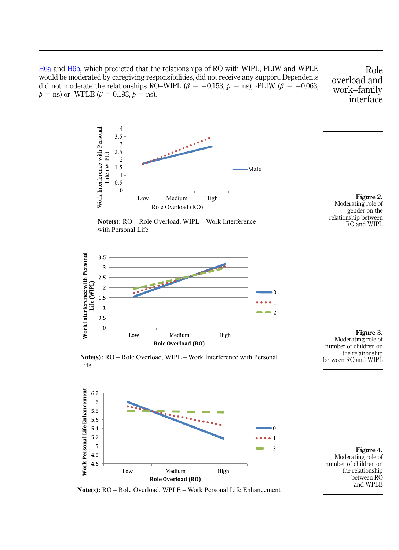H6a and H6b, which predicted that the relationships of RO with WIPL, PLIW and WPLE would be moderated by caregiving responsibilities, did not receive any support. Dependents did not moderate the relationships RO–WIPL  $(\beta = -0.153, \, p = \text{ns})$ , -PLIW  $(\beta = -0.063, \, p = \text{ns})$  $p =$ ns) or -WPLE ( $\beta = 0.193$ ,  $p =$ ns).



Figure 2. Moderating role of gender on the relationship between RO and WIPL

**Note(s):** RO – Role Overload, WIPL – Work Interference with Personal Life



Figure 3. Moderating role of number of children on the relationship between RO and WIPL

**Note(s):** RO – Role Overload, WIPL – Work Interference with Personal Life



Figure 4. Moderating role of number of children on the relationship between RO and WPLE

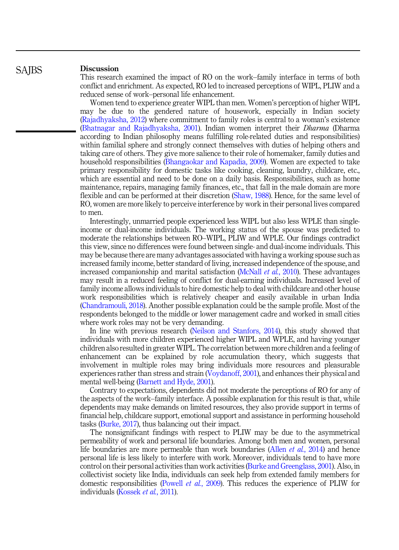#### **Discussion SAIBS**

This research examined the impact of RO on the work–family interface in terms of both conflict and enrichment. As expected, RO led to increased perceptions of WIPL, PLIW and a reduced sense of work–personal life enhancement.

Women tend to experience greater WIPL than men. Women's perception of higher WIPL may be due to the gendered nature of housework, especially in Indian society (Rajadhyaksha, 2012) where commitment to family roles is central to a woman's existence (Bhatnagar and Rajadhyaksha, 2001). Indian women interpret their *Dharma* (Dharma according to Indian philosophy means fulfilling role-related duties and responsibilities) within familial sphere and strongly connect themselves with duties of helping others and taking care of others. They give more salience to their role of homemaker, family duties and household responsibilities (Bhangaokar and Kapadia, 2009). Women are expected to take primary responsibility for domestic tasks like cooking, cleaning, laundry, childcare, etc., which are essential and need to be done on a daily basis. Responsibilities, such as home maintenance, repairs, managing family finances, etc., that fall in the male domain are more flexible and can be performed at their discretion (Shaw, 1988). Hence, for the same level of RO, women are more likely to perceive interference by work in their personal lives compared to men.

Interestingly, unmarried people experienced less WIPL but also less WPLE than singleincome or dual-income individuals. The working status of the spouse was predicted to moderate the relationships between RO–WIPL, PLIW and WPLE. Our findings contradict this view, since no differences were found between single- and dual-income individuals. This may be because there are many advantages associated with having a working spouse such as increased family income, better standard of living, increased independence of the spouse, and increased companionship and marital satisfaction (McNall *et al.*, 2010). These advantages may result in a reduced feeling of conflict for dual-earning individuals. Increased level of family income allows individuals to hire domestic help to deal with childcare and other house work responsibilities which is relatively cheaper and easily available in urban India (Chandramouli, 2018). Another possible explanation could be the sample profile. Most of the respondents belonged to the middle or lower management cadre and worked in small cities where work roles may not be very demanding.

In line with previous research (Neilson and Stanfors, 2014), this study showed that individuals with more children experienced higher WIPL and WPLE, and having younger children also resulted in greater WIPL. The correlation between more children and a feeling of enhancement can be explained by role accumulation theory, which suggests that involvement in multiple roles may bring individuals more resources and pleasurable experiences rather than stress and strain (Voydanoff, 2001), and enhances their physical and mental well-being (Barnett and Hyde, 2001).

Contrary to expectations, dependents did not moderate the perceptions of RO for any of the aspects of the work–family interface. A possible explanation for this result is that, while dependents may make demands on limited resources, they also provide support in terms of financial help, childcare support, emotional support and assistance in performing household tasks (Burke, 2017), thus balancing out their impact.

The nonsignificant findings with respect to PLIW may be due to the asymmetrical permeability of work and personal life boundaries. Among both men and women, personal life boundaries are more permeable than work boundaries (Allen *et al.*, 2014) and hence personal life is less likely to interfere with work. Moreover, individuals tend to have more control on their personal activities than work activities (Burke and Greenglass, 2001). Also, in collectivist society like India, individuals can seek help from extended family members for domestic responsibilities (Powell *et al.*, 2009). This reduces the experience of PLIW for individuals (Kossek *et al.*, 2011).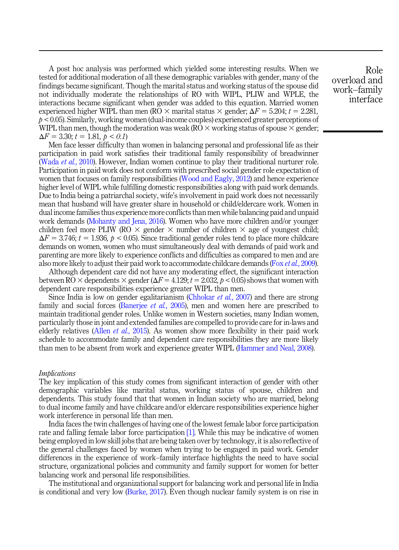A post hoc analysis was performed which yielded some interesting results. When we tested for additional moderation of all these demographic variables with gender, many of the findings became significant. Though the marital status and working status of the spouse did not individually moderate the relationships of RO with WIPL, PLIW and WPLE, the interactions became significant when gender was added to this equation. Married women experienced higher WIPL than men ( $RO \times$  marital status  $\times$  gender;  $\Delta F = 5.204$ ;  $t = 2.281$ , *p <* 0.05). Similarly, working women (dual-income couples) experienced greater perceptions of WIPL than men, though the moderation was weak ( $RO \times$  working status of spouse  $\times$  gender;  $\Delta F = 3.30; t = 1.81, p < 0.1$ 

Men face lesser difficulty than women in balancing personal and professional life as their participation in paid work satisfies their traditional family responsibility of breadwinner (Wada *et al.*, 2010). However, Indian women continue to play their traditional nurturer role. Participation in paid work does not conform with prescribed social gender role expectation of women that focuses on family responsibilities (Wood and Eagly, 2012) and hence experience higher level of WIPL while fulfilling domestic responsibilities along with paid work demands. Due to India being a patriarchal society, wife's involvement in paid work does not necessarily mean that husband will have greater share in household or child/eldercare work. Women in dual income families thus experience more conflicts than men while balancing paid and unpaid work demands (Mohanty and Jena, 2016). Women who have more children and/or younger children feel more PLIW (RO  $\times$  gender  $\times$  number of children  $\times$  age of youngest child;  $\Delta F = 3.746$ ;  $t = 1.936$ ,  $p < 0.05$ ). Since traditional gender roles tend to place more childcare demands on women, women who must simultaneously deal with demands of paid work and parenting are more likely to experience conflicts and difficulties as compared to men and are also more likely to adjust their paid work to accommodate childcare demands (Fox *et al.*, 2009).

Although dependent care did not have any moderating effect, the significant interaction between RO  $\times$  dependents  $\times$  gender ( $\Delta F = 4.129$ ;  $t = 2.032$ ,  $p < 0.05$ ) shows that women with dependent care responsibilities experience greater WIPL than men.

Since India is low on gender egalitarianism (Chhokar *et al.*, 2007) and there are strong family and social forces (Banerjee *et al.*, 2005), men and women here are prescribed to maintain traditional gender roles. Unlike women in Western societies, many Indian women, particularly those in joint and extended families are compelled to provide care for in-laws and elderly relatives (Allen *et al.*, 2015). As women show more flexibility in their paid work schedule to accommodate family and dependent care responsibilities they are more likely than men to be absent from work and experience greater WIPL (Hammer and Neal, 2008).

#### *Implications*

The key implication of this study comes from significant interaction of gender with other demographic variables like marital status, working status of spouse, children and dependents. This study found that that women in Indian society who are married, belong to dual income family and have childcare and/or eldercare responsibilities experience higher work interference in personal life than men.

India faces the twin challenges of having one of the lowest female labor force participation rate and falling female labor force participation [1]. While this may be indicative of women being employed in low skill jobs that are being taken over by technology, it is also reflective of the general challenges faced by women when trying to be engaged in paid work. Gender differences in the experience of work–family interface highlights the need to have social structure, organizational policies and community and family support for women for better balancing work and personal life responsibilities.

The institutional and organizational support for balancing work and personal life in India is conditional and very low (Burke, 2017). Even though nuclear family system is on rise in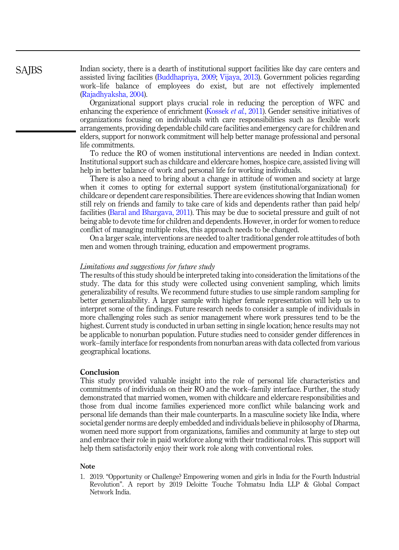Indian society, there is a dearth of institutional support facilities like day care centers and assisted living facilities (Buddhapriya, 2009; Vijaya, 2013). Government policies regarding work–life balance of employees do exist, but are not effectively implemented (Rajadhyaksha, 2004).

Organizational support plays crucial role in reducing the perception of WFC and enhancing the experience of enrichment (Kossek *et al.*, 2011). Gender sensitive initiatives of organizations focusing on individuals with care responsibilities such as flexible work arrangements, providing dependable child care facilities and emergency care for children and elders, support for nonwork commitment will help better manage professional and personal life commitments.

To reduce the RO of women institutional interventions are needed in Indian context. Institutional support such as childcare and eldercare homes, hospice care, assisted living will help in better balance of work and personal life for working individuals.

There is also a need to bring about a change in attitude of women and society at large when it comes to opting for external support system (institutional/organizational) for childcare or dependent care responsibilities. There are evidences showing that Indian women still rely on friends and family to take care of kids and dependents rather than paid help/ facilities (Baral and Bhargava, 2011). This may be due to societal pressure and guilt of not being able to devote time for children and dependents. However, in order for women to reduce conflict of managing multiple roles, this approach needs to be changed.

On a larger scale, interventions are needed to alter traditional gender role attitudes of both men and women through training, education and empowerment programs.

#### *Limitations and suggestions for future study*

The results of this study should be interpreted taking into consideration the limitations of the study. The data for this study were collected using convenient sampling, which limits generalizability of results. We recommend future studies to use simple random sampling for better generalizability. A larger sample with higher female representation will help us to interpret some of the findings. Future research needs to consider a sample of individuals in more challenging roles such as senior management where work pressures tend to be the highest. Current study is conducted in urban setting in single location; hence results may not be applicable to nonurban population. Future studies need to consider gender differences in work–family interface for respondents from nonurban areas with data collected from various geographical locations.

#### **Conclusion**

This study provided valuable insight into the role of personal life characteristics and commitments of individuals on their RO and the work–family interface. Further, the study demonstrated that married women, women with childcare and eldercare responsibilities and those from dual income families experienced more conflict while balancing work and personal life demands than their male counterparts. In a masculine society like India, where societal gender norms are deeply embedded and individuals believe in philosophy of Dharma, women need more support from organizations, families and community at large to step out and embrace their role in paid workforce along with their traditional roles. This support will help them satisfactorily enjoy their work role along with conventional roles.

#### Note

1. 2019. "Opportunity or Challenge? Empowering women and girls in India for the Fourth Industrial Revolution". A report by 2019 Deloitte Touche Tohmatsu India LLP & Global Compact Network India.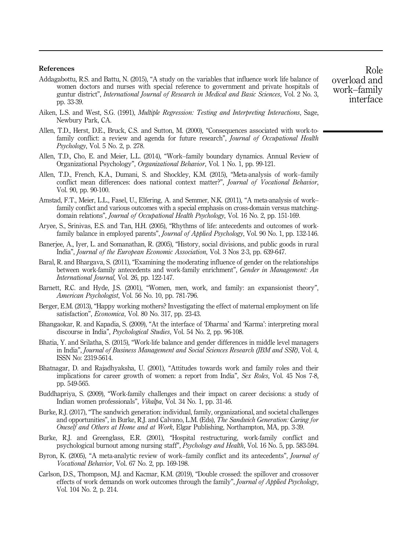#### References

- Addagabottu, R.S. and Battu, N. (2015), "A study on the variables that influence work life balance of women doctors and nurses with special reference to government and private hospitals of guntur district", *International Journal of Research in Medical and Basic Sciences*, Vol. 2 No. 3, pp. 33-39.
- Aiken, L.S. and West, S.G. (1991), *Multiple Regression: Testing and Interpreting Interactions*, Sage, Newbury Park, CA.
- Allen, T.D., Herst, D.E., Bruck, C.S. and Sutton, M. (2000), "Consequences associated with work-tofamily conflict: a review and agenda for future research", *Journal of Occupational Health Psychology*, Vol. 5 No. 2, p. 278.
- Allen, T.D., Cho, E. and Meier, L.L. (2014), "Work–family boundary dynamics. Annual Review of Organizational Psychology", *Organizational Behavior*, Vol. 1 No. 1, pp. 99-121.
- Allen, T.D., French, K.A., Dumani, S. and Shockley, K.M. (2015), "Meta-analysis of work–family conflict mean differences: does national context matter?", *Journal of Vocational Behavior*, Vol. 90, pp. 90-100.
- Amstad, F.T., Meier, L.L., Fasel, U., Elfering, A. and Semmer, N.K. (2011), "A meta-analysis of work– family conflict and various outcomes with a special emphasis on cross-domain versus matchingdomain relations", *Journal of Occupational Health Psychology*, Vol. 16 No. 2, pp. 151-169.
- Aryee, S., Srinivas, E.S. and Tan, H.H. (2005), "Rhythms of life: antecedents and outcomes of workfamily balance in employed parents", *Journal of Applied Psychology*, Vol. 90 No. 1, pp. 132-146.
- Banerjee, A., Iyer, L. and Somanathan, R. (2005), "History, social divisions, and public goods in rural India", *Journal of the European Economic Association*, Vol. 3 Nos 2-3, pp. 639-647.
- Baral, R. and Bhargava, S. (2011), "Examining the moderating influence of gender on the relationships between work-family antecedents and work-family enrichment", *Gender in Management: An International Journal*, Vol. 26, pp. 122-147.
- Barnett, R.C. and Hyde, J.S. (2001), "Women, men, work, and family: an expansionist theory", *American Psychologist*, Vol. 56 No. 10, pp. 781-796.
- Berger, E.M. (2013), "Happy working mothers? Investigating the effect of maternal employment on life satisfaction", *Economica*, Vol. 80 No. 317, pp. 23-43.
- Bhangaokar, R. and Kapadia, S. (2009), "At the interface of 'Dharma' and 'Karma': interpreting moral discourse in India", *Psychological Studies*, Vol. 54 No. 2, pp. 96-108.
- Bhatia, Y. and Srilatha, S. (2015), "Work-life balance and gender differences in middle level managers in India", *Journal of Business Management and Social Sciences Research (JBM and SSR)*, Vol. 4, ISSN No: 2319-5614.
- Bhatnagar, D. and Rajadhyaksha, U. (2001), "Attitudes towards work and family roles and their implications for career growth of women: a report from India", *Sex Roles*, Vol. 45 Nos 7-8, pp. 549-565.
- Buddhapriya, S. (2009), "Work-family challenges and their impact on career decisions: a study of Indian women professionals", *Vikalpa*, Vol. 34 No. 1, pp. 31-46.
- Burke, R.J. (2017), "The sandwich generation: individual, family, organizational, and societal challenges and opportunities", in Burke, R.J. and Calvano, L.M. (Eds), *The Sandwich Generation: Caring for Oneself and Others at Home and at Work*, Elgar Publishing, Northampton, MA, pp. 3-39.
- Burke, R.J. and Greenglass, E.R. (2001), "Hospital restructuring, work-family conflict and psychological burnout among nursing staff", *Psychology and Health*, Vol. 16 No. 5, pp. 583-594.
- Byron, K. (2005), "A meta-analytic review of work–family conflict and its antecedents", *Journal of Vocational Behavior*, Vol. 67 No. 2, pp. 169-198.
- Carlson, D.S., Thompson, M.J. and Kacmar, K.M. (2019), "Double crossed: the spillover and crossover effects of work demands on work outcomes through the family", *Journal of Applied Psychology*, Vol. 104 No. 2, p. 214.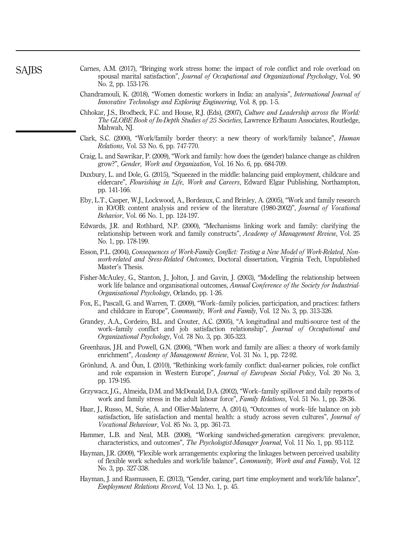- Carnes, A.M. (2017), "Bringing work stress home: the impact of role conflict and role overload on spousal marital satisfaction", *Journal of Occupational and Organizational Psychology*, Vol. 90 No. 2, pp. 153-176.
- Chandramouli, K. (2018), "Women domestic workers in India: an analysis", *International Journal of Innovative Technology and Exploring Engineering*, Vol. 8, pp. 1-5.
- Chhokar, J.S., Brodbeck, F.C. and House, R.J. (Eds), (2007), *Culture and Leadership across the World: The GLOBE Book of In-Depth Studies of 25 Societies*, Lawrence Erlbaum Associates, Routledge, Mahwah, NJ.
- Clark, S.C. (2000), "Work/family border theory: a new theory of work/family balance", *Human Relations*, Vol. 53 No. 6, pp. 747-770.
- Craig, L. and Sawrikar, P. (2009), "Work and family: how does the (gender) balance change as children grow?", *Gender, Work and Organization*, Vol. 16 No. 6, pp. 684-709.
- Duxbury, L. and Dole, G. (2015), "Squeezed in the middle: balancing paid employment, childcare and eldercare", *Flourishing in Life, Work and Careers*, Edward Elgar Publishing, Northampton, pp. 141-166.
- Eby, L.T., Casper, W.J., Lockwood, A., Bordeaux, C. and Brinley, A. (2005), "Work and family research in IO/OB: content analysis and review of the literature (1980-2002)", *Journal of Vocational Behavior*, Vol. 66 No. 1, pp. 124-197.
- Edwards, J.R. and Rothbard, N.P. (2000), "Mechanisms linking work and family: clarifying the relationship between work and family constructs", *Academy of Management Review*, Vol. 25 No. 1, pp. 178-199.
- Esson, P.L. (2004), *Consequences of Work-Family Conflict: Testing a New Model of Work-Related, Nonwork-related and Sress-Related Outcomes*, Doctoral dissertation, Virginia Tech, Unpublished Master's Thesis.
- Fisher-McAuley, G., Stanton, J., Jolton, J. and Gavin, J. (2003), "Modelling the relationship between work life balance and organisational outcomes, *Annual Conference of the Society for Industrial-Organisational Psychology*, Orlando, pp. 1-26.
- Fox, E., Pascall, G. and Warren, T. (2009), "Work–family policies, participation, and practices: fathers and childcare in Europe", *Community, Work and Family*, Vol. 12 No. 3, pp. 313-326.
- Grandey, A.A., Cordeiro, B.L. and Crouter, A.C. (2005), "A longitudinal and multi-source test of the work–family conflict and job satisfaction relationship", *Journal of Occupational and Organizational Psychology*, Vol. 78 No. 3, pp. 305-323.
- Greenhaus, J.H. and Powell, G.N. (2006), "When work and family are allies: a theory of work-family enrichment", *Academy of Management Review*, Vol. 31 No. 1, pp. 72-92.
- Grönlund, A. and Öun, I. (2010), "Rethinking work-family conflict: dual-earner policies, role conflict and role expansion in Western Europe", *Journal of European Social Policy*, Vol. 20 No. 3, pp. 179-195.
- Grzywacz, J.G., Almeida, D.M. and McDonald, D.A. (2002), "Work–family spillover and daily reports of work and family stress in the adult labour force", *Family Relations*, Vol. 51 No. 1, pp. 28-36.
- Haar, J., Russo, M., Suñe, A. and Ollier-Malaterre, A. (2014), "Outcomes of work–life balance on job satisfaction, life satisfaction and mental health: a study across seven cultures", *Journal of Vocational Behaviour*, Vol. 85 No. 3, pp. 361-73.
- Hammer, L.B. and Neal, M.B. (2008), "Working sandwiched-generation caregivers: prevalence, characteristics, and outcomes", *The Psychologist-Manager Journal*, Vol. 11 No. 1, pp. 93-112.
- Hayman, J.R. (2009), "Flexible work arrangements: exploring the linkages between perceived usability of flexible work schedules and work/life balance", *Community, Work and and Family*, Vol. 12 No. 3, pp. 327-338.
- Hayman, J. and Rasmussen, E. (2013), "Gender, caring, part time employment and work/life balance", *Employment Relations Record*, Vol. 13 No. 1, p. 45.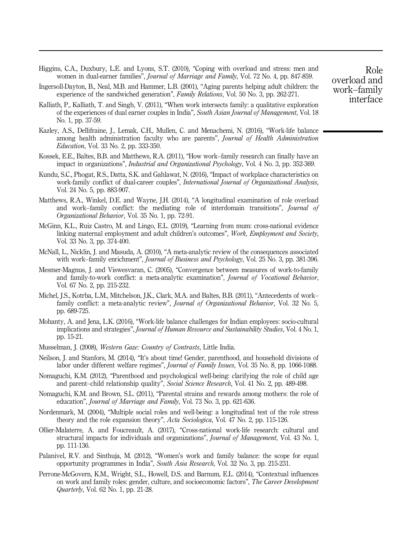- Higgins, C.A., Duxbury, L.E. and Lyons, S.T. (2010), "Coping with overload and stress: men and women in dual-earner families", *Journal of Marriage and Family*, Vol. 72 No. 4, pp. 847-859.
- Ingersoll-Dayton, B., Neal, M.B. and Hammer, L.B. (2001), "Aging parents helping adult children: the experience of the sandwiched generation", *Family Relations*, Vol. 50 No. 3, pp. 262-271.
- Kalliath, P., Kalliath, T. and Singh, V. (2011), "When work intersects family: a qualitative exploration of the experiences of dual earner couples in India", *South Asian Journal of Management*, Vol. 18 No. 1, pp. 37-59.
- Kazley, A.S., Dellifraine, J., Lemak, C.H., Mullen, C. and Menachemi, N. (2016), "Work-life balance among health administration faculty who are parents", *Journal of Health Administration Education*, Vol. 33 No. 2, pp. 333-350.
- Kossek, E.E., Baltes, B.B. and Matthews, R.A. (2011), "How work–family research can finally have an impact in organizations", *Industrial and Organizational Psychology*, Vol. 4 No. 3, pp. 352-369.
- Kundu, S.C., Phogat, R.S., Datta, S.K. and Gahlawat, N. (2016), "Impact of workplace characteristics on work-family conflict of dual-career couples", *International Journal of Organizational Analysis*, Vol. 24 No. 5, pp. 883-907.
- Matthews, R.A., Winkel, D.E. and Wayne, J.H. (2014), "A longitudinal examination of role overload and work–family conflict: the mediating role of interdomain transitions", *Journal of Organizational Behavior*, Vol. 35 No. 1, pp. 72-91.
- McGinn, K.L., Ruiz Castro, M. and Lingo, E.L. (2019), "Learning from mum: cross-national evidence linking maternal employment and adult children's outcomes", *Work, Employment and Society*, Vol. 33 No. 3, pp. 374-400.
- McNall, L., Nicklin, J. and Masuda, A. (2010), "A meta-analytic review of the consequences associated with work–family enrichment", *Journal of Business and Psychology*, Vol. 25 No. 3, pp. 381-396.
- Mesmer-Magnus, J. and Viswesvaran, C. (2005), "Convergence between measures of work-to-family and family-to-work conflict: a meta-analytic examination", *Journal of Vocational Behavior*, Vol. 67 No. 2, pp. 215-232.
- Michel, J.S., Kotrba, L.M., Mitchelson, J.K., Clark, M.A. and Baltes, B.B. (2011), "Antecedents of work– family conflict: a meta-analytic review", *Journal of Organizational Behavior*, Vol. 32 No. 5, pp. 689-725.
- Mohanty, A. and Jena, L.K. (2016), "Work-life balance challenges for Indian employees: socio-cultural implications and strategies", *Journal of Human Resource and Sustainability Studies*, Vol. 4 No. 1, pp. 15-21.
- Musselman, J. (2008), *Western Gaze: Country of Contrasts*, Little India.
- Neilson, J. and Stanfors, M. (2014), "It's about time! Gender, parenthood, and household divisions of labor under different welfare regimes", *Journal of Family Issues*, Vol. 35 No. 8, pp. 1066-1088.
- Nomaguchi, K.M. (2012), "Parenthood and psychological well-being: clarifying the role of child age and parent–child relationship quality", *Social Science Research*, Vol. 41 No. 2, pp. 489-498.
- Nomaguchi, K.M. and Brown, S.L. (2011), "Parental strains and rewards among mothers: the role of education", *Journal of Marriage and Family*, Vol. 73 No. 3, pp. 621-636.
- Nordenmark, M. (2004), "Multiple social roles and well-being: a longitudinal test of the role stress theory and the role expansion theory", *Acta Sociologica*, Vol. 47 No. 2, pp. 115-126.
- Ollier-Malaterre, A. and Foucreault, A. (2017), "Cross-national work-life research: cultural and structural impacts for individuals and organizations", *Journal of Management*, Vol. 43 No. 1, pp. 111-136.
- Palanivel, R.V. and Sinthuja, M. (2012), "Women's work and family balance: the scope for equal opportunity programmes in India", *South Asia Research*, Vol. 32 No. 3, pp. 215-231.
- Perrone-McGovern, K.M., Wright, S.L., Howell, D.S. and Barnum, E.L. (2014), "Contextual influences on work and family roles: gender, culture, and socioeconomic factors", *The Career Development Quarterly*, Vol. 62 No. 1, pp. 21-28.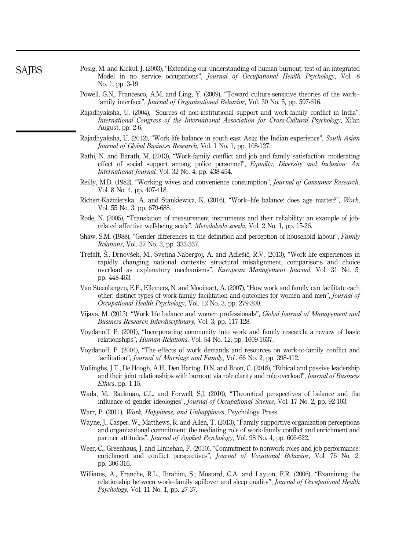- Posig, M. and Kickul, J. (2003), "Extending our understanding of human burnout: test of an integrated Model in no service occupations", *Journal of Occupational Health Psychology*, Vol. 8 No. 1, pp. 3-19.
	- Powell, G.N., Francesco, A.M. and Ling, Y. (2009), "Toward culture-sensitive theories of the work– family interface", *Journal of Organizational Behavior*, Vol. 30 No. 5, pp. 597-616.
	- Rajadhyaksha, U. (2004), "Sources of non-institutional support and work-family conflict in India", *International Congress of the International Association for Cross-Cultural Psychology*, Xi'an August, pp. 2-6.
	- Rajadhyaksha, U. (2012), "Work-life balance in south east Asia: the Indian experience", *South Asian Journal of Global Business Research*, Vol. 1 No. 1, pp. 108-127.
	- Rathi, N. and Barath, M. (2013), "Work-family conflict and job and family satisfaction: moderating effect of social support among police personnel", *Equality, Diversity and Inclusion: An International Journal*, Vol. 32 No. 4, pp. 438-454.
	- Reilly, M.D. (1982), "Working wives and convenience consumption", *Journal of Consumer Research*, Vol. 8 No. 4, pp. 407-418.
	- Richert-Kaźmierska, A. and Stankiewicz, K. (2016), "Work-life balance: does age matter?", Work, Vol. 55 No. 3, pp. 679-688.
	- Rode, N. (2005), "Translation of measurement instruments and their reliability: an example of jobrelated affective well-being scale", *Metodoloski zvezki*, Vol. 2 No. 1, pp. 15-26.
	- Shaw, S.M. (1988), "Gender differences in the definition and perception of household labour", *Family Relations*, Vol. 37 No. 3, pp. 333-337.
	- Trefalt, S., Drnovsek, M., Svetina-Nabergoj, A. and Adlesic, R.V. (2013), "Work-life experiences in rapidly changing national contexts: structural misalignment, comparisons and choice overload as explanatory mechanisms", *European Management Journal*, Vol. 31 No. 5, pp. 448-463.
	- Van Steenbergen, E.F., Ellemers, N. and Mooijaart, A. (2007), "How work and family can facilitate each other: distinct types of work-family facilitation and outcomes for women and men", *Journal of Occupational Health Psychology*, Vol. 12 No. 3, pp. 279-300.
	- Vijaya, M. (2013), "Work life balance and women professionals", *Global Journal of Management and Business Research Interdisciplinary*, Vol. 3, pp. 117-128.
	- Voydanoff, P. (2001), "Incorporating community into work and family research: a review of basic relationships", *Human Relations*, Vol. 54 No. 12, pp. 1609-1637.
	- Voydanoff, P. (2004), "The effects of work demands and resources on work-to-family conflict and facilitation", *Journal of Marriage and Family*, Vol. 66 No. 2, pp. 398-412.
	- Vullinghs, J.T., De Hoogh, A.H., Den Hartog, D.N. and Boon, C. (2018), "Ethical and passive leadership and their joint relationships with burnout via role clarity and role overload", *Journal of Business Ethics*, pp. 1-15.
	- Wada, M., Backman, C.L. and Forwell, S.J. (2010), "Theoretical perspectives of balance and the influence of gender ideologies", *Journal of Occupational Science*, Vol. 17 No. 2, pp. 92-103.
	- Warr, P. (2011), *Work, Happiness, and Unhappiness*, Psychology Press.
	- Wayne, J., Casper, W., Matthews, R. and Allen, T. (2013), "Family-supportive organization perceptions and organizational commitment: the mediating role of work-family conflict and enrichment and partner attitudes", *Journal of Applied Psychology*, Vol. 98 No. 4, pp. 606-622.
	- Weer, C., Greenhaus, J. and Linnehan, F. (2010), "Commitment to nonwork roles and job performance: enrichment and conflict perspectives", *Journal of Vocational Behavior*, Vol. 76 No. 2, pp. 306-316.
	- Williams, A., Franche, R.L., Ibrahim, S., Mustard, C.A. and Layton, F.R. (2006), "Examining the relationship between work–family spillover and sleep quality", *Journal of Occupational Health Psychology*, Vol. 11 No. 1, pp. 27-37.